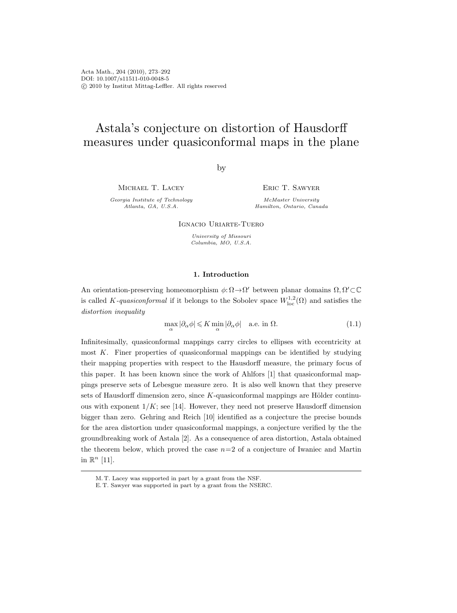Acta Math., 204 (2010), 273–292 DOI: 10.1007/s11511-010-0048-5 c 2010 by Institut Mittag-Leffler. All rights reserved

# Astala's conjecture on distortion of Hausdorff measures under quasiconformal maps in the plane

by

Michael T. Lacey

Georgia Institute of Technology Atlanta, GA, U.S.A.

Eric T. Sawyer

McMaster University Hamilton, Ontario, Canada

Ignacio Uriarte-Tuero

University of Missouri Columbia, MO, U.S.A.

## 1. Introduction

An orientation-preserving homeomorphism  $\phi: \Omega \to \Omega'$  between planar domains  $\Omega, \Omega' \subset \mathbb{C}$ is called K-quasiconformal if it belongs to the Sobolev space  $W^{1,2}_{loc}(\Omega)$  and satisfies the distortion inequality

$$
\max_{\alpha} |\partial_{\alpha}\phi| \leqslant K \min_{\alpha} |\partial_{\alpha}\phi| \quad \text{a.e. in } \Omega. \tag{1.1}
$$

Infinitesimally, quasiconformal mappings carry circles to ellipses with eccentricity at most K. Finer properties of quasiconformal mappings can be identified by studying their mapping properties with respect to the Hausdorff measure, the primary focus of this paper. It has been known since the work of Ahlfors [1] that quasiconformal mappings preserve sets of Lebesgue measure zero. It is also well known that they preserve sets of Hausdorff dimension zero, since  $K$ -quasiconformal mappings are Hölder continuous with exponent  $1/K$ ; see [14]. However, they need not preserve Hausdorff dimension bigger than zero. Gehring and Reich [10] identified as a conjecture the precise bounds for the area distortion under quasiconformal mappings, a conjecture verified by the the groundbreaking work of Astala [2]. As a consequence of area distortion, Astala obtained the theorem below, which proved the case  $n=2$  of a conjecture of Iwaniec and Martin in  $\mathbb{R}^n$  [11].

M. T. Lacey was supported in part by a grant from the NSF.

E. T. Sawyer was supported in part by a grant from the NSERC.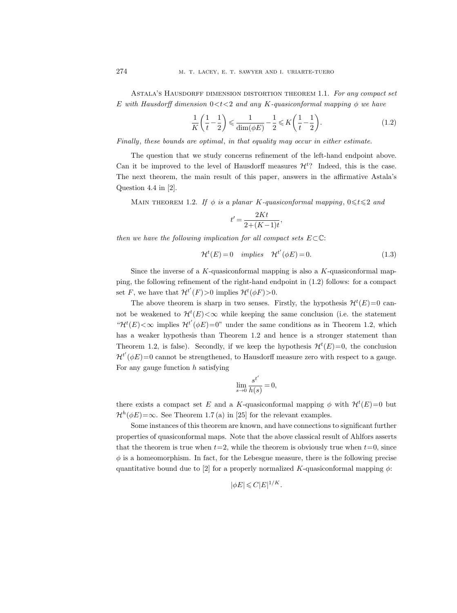ASTALA'S HAUSDORFF DIMENSION DISTORTION THEOREM 1.1. For any compact set E with Hausdorff dimension  $0 < t < 2$  and any K-quasiconformal mapping  $\phi$  we have

$$
\frac{1}{K}\left(\frac{1}{t}-\frac{1}{2}\right) \leq \frac{1}{\dim(\phi E)} - \frac{1}{2} \leq K\left(\frac{1}{t}-\frac{1}{2}\right). \tag{1.2}
$$

Finally, these bounds are optimal, in that equality may occur in either estimate.

The question that we study concerns refinement of the left-hand endpoint above. Can it be improved to the level of Hausdorff measures  $\mathcal{H}^t$ ? Indeed, this is the case. The next theorem, the main result of this paper, answers in the affirmative Astala's Question 4.4 in [2].

MAIN THEOREM 1.2. If  $\phi$  is a planar K-quasiconformal mapping,  $0 \le t \le 2$  and

$$
t' = \frac{2Kt}{2 + (K - 1)t},
$$

then we have the following implication for all compact sets  $E\subset\mathbb{C}$ :

$$
\mathcal{H}^t(E) = 0 \quad implies \quad \mathcal{H}^{t'}(\phi E) = 0. \tag{1.3}
$$

Since the inverse of a K-quasiconformal mapping is also a K-quasiconformal mapping, the following refinement of the right-hand endpoint in (1.2) follows: for a compact set F, we have that  $\mathcal{H}^{t'}(F) > 0$  implies  $\mathcal{H}^{t}(\phi F) > 0$ .

The above theorem is sharp in two senses. Firstly, the hypothesis  $\mathcal{H}^{t}(E)=0$  cannot be weakened to  $\mathcal{H}^{t}(E) < \infty$  while keeping the same conclusion (i.e. the statement " $\mathcal{H}^{t}(E) < \infty$  implies  $\mathcal{H}^{t'}(\phi E) = 0$ " under the same conditions as in Theorem 1.2, which has a weaker hypothesis than Theorem 1.2 and hence is a stronger statement than Theorem 1.2, is false). Secondly, if we keep the hypothesis  $\mathcal{H}^{t}(E)=0$ , the conclusion  $\mathcal{H}^{t'}(\phi E)=0$  cannot be strengthened, to Hausdorff measure zero with respect to a gauge. For any gauge function  $h$  satisfying

$$
\lim_{s \to 0} \frac{s^{t'}}{h(s)} = 0,
$$

there exists a compact set E and a K-quasiconformal mapping  $\phi$  with  $\mathcal{H}^{t}(E)=0$  but  $\mathcal{H}^{h}(\phi E) = \infty$ . See Theorem 1.7(a) in [25] for the relevant examples.

Some instances of this theorem are known, and have connections to significant further properties of quasiconformal maps. Note that the above classical result of Ahlfors asserts that the theorem is true when  $t=2$ , while the theorem is obviously true when  $t=0$ , since  $\phi$  is a homeomorphism. In fact, for the Lebesgue measure, there is the following precise quantitative bound due to [2] for a properly normalized K-quasiconformal mapping  $\phi$ :

$$
|\phi E| \leqslant C |E|^{1/K}.
$$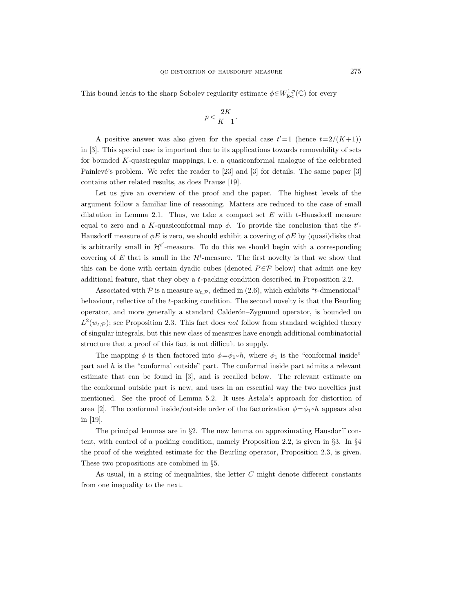This bound leads to the sharp Sobolev regularity estimate  $\phi \in W^{1,p}_{loc}(\mathbb{C})$  for every

$$
p < \frac{2K}{K-1}.
$$

A positive answer was also given for the special case  $t'=1$  (hence  $t=2/(K+1)$ ) in [3]. This special case is important due to its applications towards removability of sets for bounded K-quasiregular mappings, i. e. a quasiconformal analogue of the celebrated Painlevé's problem. We refer the reader to  $[23]$  and  $[3]$  for details. The same paper  $[3]$ contains other related results, as does Prause [19].

Let us give an overview of the proof and the paper. The highest levels of the argument follow a familiar line of reasoning. Matters are reduced to the case of small dilatation in Lemma 2.1. Thus, we take a compact set  $E$  with  $t$ -Hausdorff measure equal to zero and a K-quasiconformal map  $\phi$ . To provide the conclusion that the t'-Hausdorff measure of  $\phi E$  is zero, we should exhibit a covering of  $\phi E$  by (quasi)disks that is arbitrarily small in  $\mathcal{H}^{t'}$ -measure. To do this we should begin with a corresponding covering of E that is small in the  $\mathcal{H}^t$ -measure. The first novelty is that we show that this can be done with certain dyadic cubes (denoted  $P \in \mathcal{P}$  below) that admit one key additional feature, that they obey a t-packing condition described in Proposition 2.2.

Associated with  $P$  is a measure  $w_{t,P}$ , defined in (2.6), which exhibits "t-dimensional" behaviour, reflective of the t-packing condition. The second novelty is that the Beurling operator, and more generally a standard Calderon–Zygmund operator, is bounded on  $L^2(w_{t,\mathcal{P}})$ ; see Proposition 2.3. This fact does not follow from standard weighted theory of singular integrals, but this new class of measures have enough additional combinatorial structure that a proof of this fact is not difficult to supply.

The mapping  $\phi$  is then factored into  $\phi = \phi_1 \circ h$ , where  $\phi_1$  is the "conformal inside" part and h is the "conformal outside" part. The conformal inside part admits a relevant estimate that can be found in [3], and is recalled below. The relevant estimate on the conformal outside part is new, and uses in an essential way the two novelties just mentioned. See the proof of Lemma 5.2. It uses Astala's approach for distortion of area [2]. The conformal inside/outside order of the factorization  $\phi = \phi_1 \circ h$  appears also in [19].

The principal lemmas are in §2. The new lemma on approximating Hausdorff content, with control of a packing condition, namely Proposition 2.2, is given in §3. In §4 the proof of the weighted estimate for the Beurling operator, Proposition 2.3, is given. These two propositions are combined in §5.

As usual, in a string of inequalities, the letter  $C$  might denote different constants from one inequality to the next.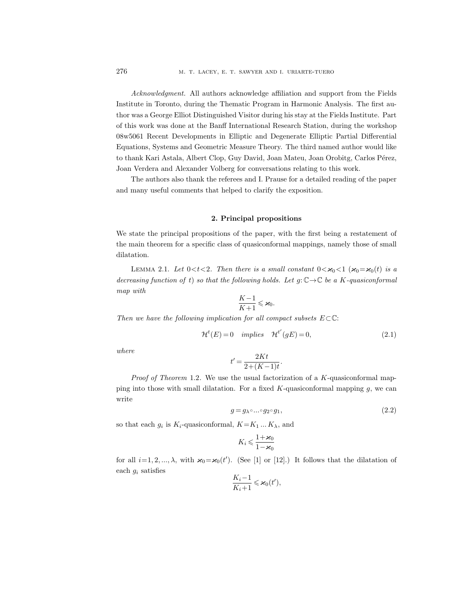Acknowledgment. All authors acknowledge affiliation and support from the Fields Institute in Toronto, during the Thematic Program in Harmonic Analysis. The first author was a George Elliot Distinguished Visitor during his stay at the Fields Institute. Part of this work was done at the Banff International Research Station, during the workshop 08w5061 Recent Developments in Elliptic and Degenerate Elliptic Partial Differential Equations, Systems and Geometric Measure Theory. The third named author would like to thank Kari Astala, Albert Clop, Guy David, Joan Mateu, Joan Orobitg, Carlos Pérez, Joan Verdera and Alexander Volberg for conversations relating to this work.

The authors also thank the referees and I. Prause for a detailed reading of the paper and many useful comments that helped to clarify the exposition.

#### 2. Principal propositions

We state the principal propositions of the paper, with the first being a restatement of the main theorem for a specific class of quasiconformal mappings, namely those of small dilatation.

LEMMA 2.1. Let  $0 < t < 2$ . Then there is a small constant  $0 < \varkappa_0 < 1$  ( $\varkappa_0 = \varkappa_0(t)$  is a decreasing function of t) so that the following holds. Let  $q: \mathbb{C} \to \mathbb{C}$  be a K-quasiconformal map with

$$
\frac{K-1}{K+1} \leqslant \varkappa_0.
$$

Then we have the following implication for all compact subsets  $E\subset\mathbb{C}$ :

$$
\mathcal{H}^t(E) = 0 \quad implies \quad \mathcal{H}^{t'}(gE) = 0,\tag{2.1}
$$

where

$$
t' = \frac{2Kt}{2 + (K - 1)t}.
$$

Proof of Theorem 1.2. We use the usual factorization of a K-quasiconformal mapping into those with small dilatation. For a fixed  $K$ -quasiconformal mapping  $g$ , we can write

$$
g = g_{\lambda} \circ \dots \circ g_2 \circ g_1,\tag{2.2}
$$

so that each  $g_i$  is  $K_i$ -quasiconformal,  $K = K_1 ... K_\lambda$ , and

$$
K_i \leqslant \frac{1+\varkappa_0}{1-\varkappa_0}
$$

for all  $i=1, 2, ..., \lambda$ , with  $\varkappa_0 = \varkappa_0(t')$ . (See [1] or [12].) It follows that the dilatation of each  $g_i$  satisfies

$$
\frac{K_i-1}{K_i+1} \leqslant \varkappa_0(t'),
$$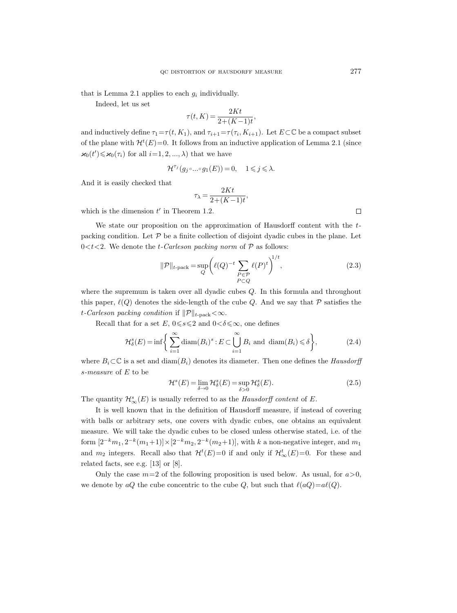that is Lemma 2.1 applies to each  $g_i$  individually.

Indeed, let us set

$$
\tau(t,K) = \frac{2Kt}{2 + (K-1)t},
$$

and inductively define  $\tau_1 = \tau(t, K_1)$ , and  $\tau_{i+1} = \tau(\tau_i, K_{i+1})$ . Let  $E \subset \mathbb{C}$  be a compact subset of the plane with  $\mathcal{H}^{t}(E)=0$ . It follows from an inductive application of Lemma 2.1 (since  $\varkappa_0(t')\leqslant \varkappa_0(\tau_i)$  for all  $i=1,2,...,\lambda)$  that we have

$$
\mathcal{H}^{\tau_j}(g_j\circ\dots\circ g_1(E))=0,\quad 1\leqslant j\leqslant\lambda.
$$

And it is easily checked that

$$
\tau_{\lambda} = \frac{2Kt}{2 + (K - 1)t},
$$

which is the dimension  $t'$  in Theorem 1.2.

We state our proposition on the approximation of Hausdorff content with the  $t$ packing condition. Let  $P$  be a finite collection of disjoint dyadic cubes in the plane. Let  $0 < t < 2$ . We denote the *t*-Carleson packing norm of  $P$  as follows:

$$
\|\mathcal{P}\|_{t\text{-pack}} = \sup_{Q} \left(\ell(Q)^{-t} \sum_{\substack{P \in \mathcal{P} \\ P \subset Q}} \ell(P)^{t}\right)^{1/t},\tag{2.3}
$$

where the supremum is taken over all dyadic cubes Q. In this formula and throughout this paper,  $\ell(Q)$  denotes the side-length of the cube Q. And we say that P satisfies the t-Carleson packing condition if  $\|\mathcal{P}\|_{t-\text{pack}} < \infty$ .

Recall that for a set E,  $0 \le s \le 2$  and  $0 < \delta \le \infty$ , one defines

$$
\mathcal{H}_{\delta}^{s}(E) = \inf \left\{ \sum_{i=1}^{\infty} \operatorname{diam}(B_{i})^{s} : E \subset \bigcup_{i=1}^{\infty} B_{i} \text{ and } \operatorname{diam}(B_{i}) \leq \delta \right\},\tag{2.4}
$$

where  $B_i \subset \mathbb{C}$  is a set and  $\text{diam}(B_i)$  denotes its diameter. Then one defines the *Hausdorff* s-measure of E to be

$$
\mathcal{H}^s(E) = \lim_{\delta \to 0} \mathcal{H}^s_{\delta}(E) = \sup_{\delta > 0} \mathcal{H}^s_{\delta}(E). \tag{2.5}
$$

The quantity  $\mathcal{H}^s_\infty(E)$  is usually referred to as the *Hausdorff content* of E.

It is well known that in the definition of Hausdorff measure, if instead of covering with balls or arbitrary sets, one covers with dyadic cubes, one obtains an equivalent measure. We will take the dyadic cubes to be closed unless otherwise stated, i.e. of the form  $[2^{-k}m_1, 2^{-k}(m_1+1)] \times [2^{-k}m_2, 2^{-k}(m_2+1)]$ , with k a non-negative integer, and  $m_1$ and  $m_2$  integers. Recall also that  $\mathcal{H}^t(E)=0$  if and only if  $\mathcal{H}^t_{\infty}(E)=0$ . For these and related facts, see e.g. [13] or [8].

Only the case  $m=2$  of the following proposition is used below. As usual, for  $a>0$ , we denote by aQ the cube concentric to the cube Q, but such that  $\ell(aQ)=a\ell(Q)$ .

 $\Box$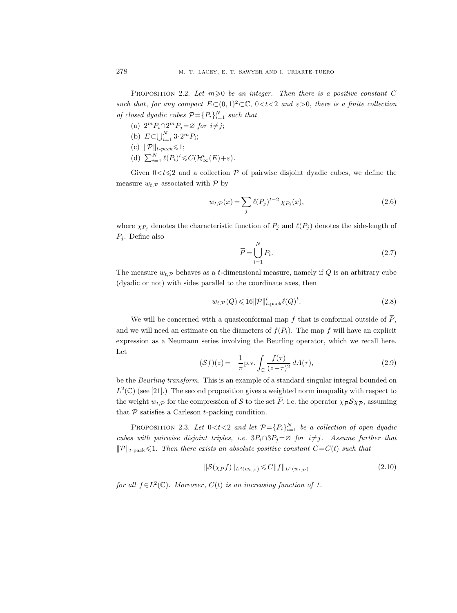PROPOSITION 2.2. Let  $m \geq 0$  be an integer. Then there is a positive constant C such that, for any compact  $E\subset (0,1)^2\subset\mathbb{C}$ ,  $0< t< 2$  and  $\varepsilon>0$ , there is a finite collection of closed dyadic cubes  $\mathcal{P} = \{P_i\}_{i=1}^N$  such that

- (a)  $2^m P_i \cap 2^m P_j = \varnothing$  for  $i \neq j$ ;
- (b)  $E \subset \bigcup_{i=1}^{N} 3 \cdot 2^m P_i;$
- (c)  $\|\mathcal{P}\|_{t\text{-}pack} \leq 1;$
- (d)  $\sum_{i=1}^{N} \ell(P_i)^t \leq C(\mathcal{H}_{\infty}^t(E)+\varepsilon).$

Given  $0 < t \leq 2$  and a collection P of pairwise disjoint dyadic cubes, we define the measure  $w_t$ <sub>p</sub> associated with  $\mathcal{P}$  by

$$
w_{t,\mathcal{P}}(x) = \sum_{j} \ell(P_j)^{t-2} \chi_{P_j}(x),\tag{2.6}
$$

where  $\chi_{P_j}$  denotes the characteristic function of  $P_j$  and  $\ell(P_j)$  denotes the side-length of  $P_j$ . Define also

$$
\overline{P} = \bigcup_{i=1}^{N} P_i.
$$
\n(2.7)

The measure  $w_t$  behaves as a t-dimensional measure, namely if Q is an arbitrary cube (dyadic or not) with sides parallel to the coordinate axes, then

$$
w_{t,\mathcal{P}}(Q) \leqslant 16\|\mathcal{P}\|_{t\text{-pack}}^t \ell(Q)^t. \tag{2.8}
$$

We will be concerned with a quasiconformal map f that is conformal outside of  $\overline{P}$ , and we will need an estimate on the diameters of  $f(P_i)$ . The map f will have an explicit expression as a Neumann series involving the Beurling operator, which we recall here. Let

$$
(\mathcal{S}f)(z) = -\frac{1}{\pi} \mathrm{p.v.} \int_{\mathbb{C}} \frac{f(\tau)}{(z-\tau)^2} dA(\tau),\tag{2.9}
$$

be the *Beurling transform*. This is an example of a standard singular integral bounded on  $L^2(\mathbb{C})$  (see [21].) The second proposition gives a weighted norm inequality with respect to the weight  $w_{t,\mathcal{P}}$  for the compression of S to the set  $\overline{P}$ , i.e. the operator  $\chi_{\overline{P}} \mathcal{S} \chi_{\overline{P}}$ , assuming that  $P$  satisfies a Carleson  $t$ -packing condition.

PROPOSITION 2.3. Let  $0 < t < 2$  and let  $\mathcal{P} = \{P_i\}_{i=1}^N$  be a collection of open dyadic cubes with pairwise disjoint triples, i.e.  $3P_i \cap 3P_j = \emptyset$  for  $i \neq j$ . Assume further that  $||\mathcal{P}||_{t\text{-pack}} \leq 1$ . Then there exists an absolute positive constant  $C=C(t)$  such that

$$
\|\mathcal{S}(\chi_{\bar{P}}f)\|_{L^2(w_{t,\bar{P}})} \leqslant C \|f\|_{L^2(w_{t,\bar{P}})}\tag{2.10}
$$

for all  $f \in L^2(\mathbb{C})$ . Moreover,  $C(t)$  is an increasing function of t.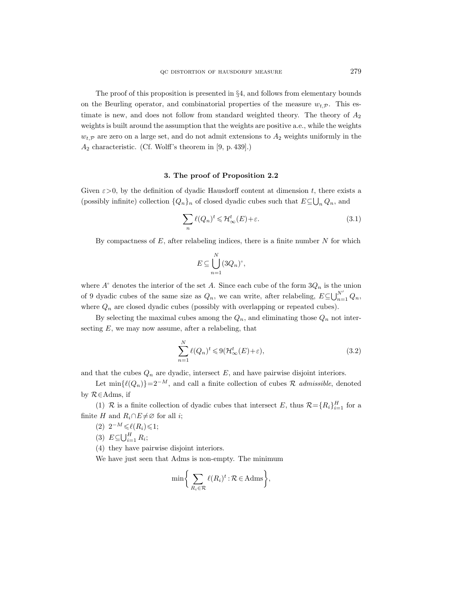The proof of this proposition is presented in  $\S 4$ , and follows from elementary bounds on the Beurling operator, and combinatorial properties of the measure  $w_{t,\mathcal{P}}$ . This estimate is new, and does not follow from standard weighted theory. The theory of  $A_2$ weights is built around the assumption that the weights are positive a.e., while the weights  $w_t$ <sub>P</sub> are zero on a large set, and do not admit extensions to  $A_2$  weights uniformly in the  $A_2$  characteristic. (Cf. Wolff's theorem in [9, p. 439].)

#### 3. The proof of Proposition 2.2

Given  $\varepsilon > 0$ , by the definition of dyadic Hausdorff content at dimension t, there exists a (possibly infinite) collection  $\{Q_n\}_n$  of closed dyadic cubes such that  $E \subseteq \bigcup_n Q_n$ , and

$$
\sum_{n} \ell(Q_n)^t \leqslant \mathcal{H}_{\infty}^t(E) + \varepsilon. \tag{3.1}
$$

By compactness of  $E$ , after relabeling indices, there is a finite number  $N$  for which

$$
E \subseteq \bigcup_{n=1}^N (3Q_n)^{\circ},
$$

where  $A^{\circ}$  denotes the interior of the set A. Since each cube of the form  $3Q_n$  is the union of 9 dyadic cubes of the same size as  $Q_n$ , we can write, after relabeling,  $E \subseteq \bigcup_{n=1}^{N'} Q_n$ , where  $Q_n$  are closed dyadic cubes (possibly with overlapping or repeated cubes).

By selecting the maximal cubes among the  $Q_n$ , and eliminating those  $Q_n$  not intersecting  $E$ , we may now assume, after a relabeling, that

$$
\sum_{n=1}^{N} \ell(Q_n)^t \leqslant 9(\mathcal{H}_{\infty}^t(E) + \varepsilon),\tag{3.2}
$$

and that the cubes  $Q_n$  are dyadic, intersect E, and have pairwise disjoint interiors.

Let  $\min\{\ell(Q_n)\}=2^{-M}$ , and call a finite collection of cubes R *admissible*, denoted by R∈Adms, if

(1) R is a finite collection of dyadic cubes that intersect E, thus  $\mathcal{R} = \{R_i\}_{i=1}^H$  for a finite H and  $R_i \cap E \neq \emptyset$  for all *i*;

- (2)  $2^{-M} \leq \ell(R_i) \leq 1;$
- (3)  $E \subseteq \bigcup_{i=1}^{H} R_i;$

(4) they have pairwise disjoint interiors.

We have just seen that Adms is non-empty. The minimum

$$
\min\bigg\{\sum_{R_i\in\mathcal{R}}\ell(R_i)^t:\mathcal{R}\in\mathbf{Adms}\bigg\},\
$$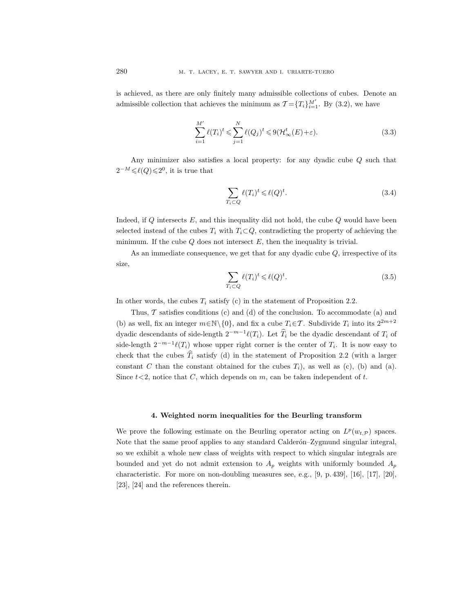is achieved, as there are only finitely many admissible collections of cubes. Denote an admissible collection that achieves the minimum as  $\mathcal{T} = \{T_i\}_{i=1}^{M'}$ . By (3.2), we have

$$
\sum_{i=1}^{M'} \ell(T_i)^t \leq \sum_{j=1}^{N} \ell(Q_j)^t \leq 9(\mathcal{H}_\infty^t(E) + \varepsilon).
$$
\n(3.3)

Any minimizer also satisfies a local property: for any dyadic cube Q such that  $2^{-M} \leq \ell(Q) \leq 2^0$ , it is true that

$$
\sum_{T_i \subset Q} \ell(T_i)^t \leq \ell(Q)^t. \tag{3.4}
$$

Indeed, if  $Q$  intersects  $E$ , and this inequality did not hold, the cube  $Q$  would have been selected instead of the cubes  $T_i$  with  $T_i \subset Q$ , contradicting the property of achieving the minimum. If the cube  $Q$  does not intersect  $E$ , then the inequality is trivial.

As an immediate consequence, we get that for any dyadic cube  $Q$ , irrespective of its size,

$$
\sum_{T_i \subset Q} \ell(T_i)^t \leq \ell(Q)^t. \tag{3.5}
$$

In other words, the cubes  $T_i$  satisfy (c) in the statement of Proposition 2.2.

Thus,  $\mathcal T$  satisfies conditions (c) and (d) of the conclusion. To accommodate (a) and (b) as well, fix an integer  $m \in \mathbb{N} \setminus \{0\}$ , and fix a cube  $T_i \in \mathcal{T}$ . Subdivide  $T_i$  into its  $2^{2m+2}$ dyadic descendants of side-length  $2^{-m-1}\ell(T_i)$ . Let  $\hat{T}_i$  be the dyadic descendant of  $T_i$  of side-length  $2^{-m-1}\ell(T_i)$  whose upper right corner is the center of  $T_i$ . It is now easy to check that the cubes  $T_i$  satisfy (d) in the statement of Proposition 2.2 (with a larger constant C than the constant obtained for the cubes  $T_i$ ), as well as (c), (b) and (a). Since  $t < 2$ , notice that C, which depends on m, can be taken independent of t.

# 4. Weighted norm inequalities for the Beurling transform

We prove the following estimate on the Beurling operator acting on  $L^p(w_{t,\mathcal{P}})$  spaces. Note that the same proof applies to any standard Calderón–Zygmund singular integral, so we exhibit a whole new class of weights with respect to which singular integrals are bounded and yet do not admit extension to  $A_p$  weights with uniformly bounded  $A_p$ characteristic. For more on non-doubling measures see, e.g., [9, p. 439], [16], [17], [20], [23], [24] and the references therein.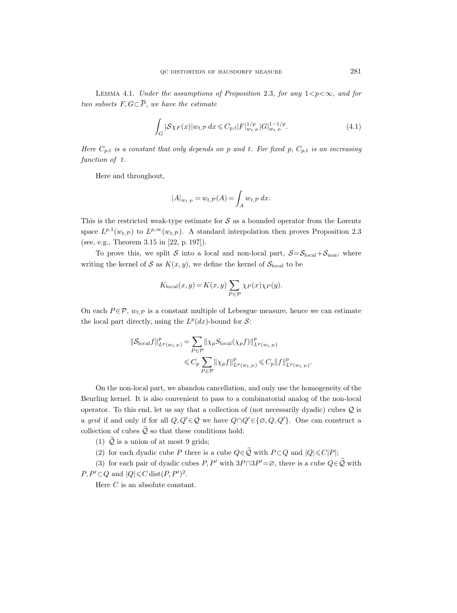LEMMA 4.1. Under the assumptions of Proposition 2.3, for any  $1 < p < \infty$ , and for two subsets  $F, G \subseteq \overline{P}$ , we have the estimate

$$
\int_{G} |\mathcal{S}\chi_F(x)| w_{t,\mathcal{P}} dx \leq C_{p,t} |F|_{w_{t,\mathcal{P}}}^{1/p} |G|_{w_{t,\mathcal{P}}}^{1-1/p}.
$$
\n(4.1)

Here  $C_{p,t}$  is a constant that only depends on p and t. For fixed p,  $C_{p,t}$  is an increasing function of t.

Here and throughout,

$$
|A|_{w_{t,\mathcal{P}}} = w_{t,\mathcal{P}}(A) = \int_{A} w_{t,\mathcal{P}} dx.
$$

This is the restricted weak-type estimate for  $S$  as a bounded operator from the Lorentz space  $L^{p,1}(w_{t,\mathcal{P}})$  to  $L^{p,\infty}(w_{t,\mathcal{P}})$ . A standard interpolation then proves Proposition 2.3 (see, e.g., Theorem 3.15 in [22, p. 197]).

To prove this, we split S into a local and non-local part,  $S = S_{local} + S_{non}$ , where writing the kernel of S as  $K(x, y)$ , we define the kernel of  $S<sub>local</sub>$  to be

$$
K_{\text{local}}(x, y) = K(x, y) \sum_{P \in \mathcal{P}} \chi_P(x) \chi_P(y).
$$

On each  $P \in \mathcal{P}$ ,  $w_{t,\mathcal{P}}$  is a constant multiple of Lebesgue measure, hence we can estimate the local part directly, using the  $L^p(dx)$ -bound for S:

$$
\|\mathcal{S}_{\text{local}}f\|_{L^p(w_{t,\mathcal{P}})}^p = \sum_{P \in \mathcal{P}} \|\chi_P \mathcal{S}_{\text{local}}(\chi_p f)\|_{L^p(w_{t,\mathcal{P}})}^p
$$
  

$$
\leq C_p \sum_{P \in \mathcal{P}} \|\chi_P f\|_{L^p(w_{t,\mathcal{P}})}^p \leq C_p \|f\|_{L^p(w_{t,\mathcal{P}})}^p.
$$

On the non-local part, we abandon cancellation, and only use the homogeneity of the Beurling kernel. It is also convenient to pass to a combinatorial analog of the non-local operator. To this end, let us say that a collection of (not necessarily dyadic) cubes  $Q$  is a grid if and only if for all  $Q, Q' \in \mathcal{Q}$  we have  $Q \cap Q' \in \{\emptyset, Q, Q'\}$ . One can construct a collection of cubes  $\widetilde{Q}$  so that these conditions hold:

(1)  $\overline{Q}$  is a union of at most 9 grids;

(2) for each dyadic cube P there is a cube  $Q \in \tilde{Q}$  with  $P \subset Q$  and  $|Q| \leq C|P|$ ;

(3) for each pair of dyadic cubes  $P, P'$  with  $3P \cap 3P' = \emptyset$ , there is a cube  $Q \in \tilde{Q}$  with  $P, P' \subset Q$  and  $|Q| \leq C$  dist $(P, P')^2$ .

Here C is an absolute constant.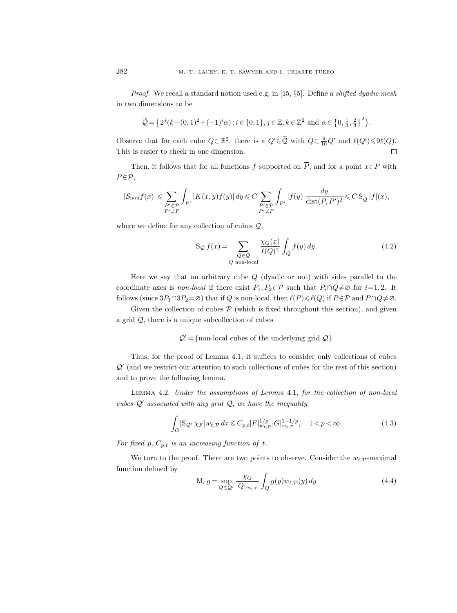*Proof.* We recall a standard notion used e.g. in [15,  $\S5$ ]. Define a *shifted dyadic mesh* in two dimensions to be

$$
\widetilde{\mathcal{Q}} = \left\{ 2^{j}(k + (0, 1)^{2} + (-1)^{i}\alpha) : i \in \{0, 1\}, j \in \mathbb{Z}, k \in \mathbb{Z}^{2} \text{ and } \alpha \in \left\{0, \frac{1}{3}, \frac{2}{3}\right\}^{2} \right\}.
$$

Observe that for each cube  $Q \subset \mathbb{R}^2$ , there is a  $Q' \in \tilde{Q}$  with  $Q \subset \frac{9}{10}Q'$  and  $\ell(Q') \leq \ell(Q)$ . This is easier to check in one dimension.  $\Box$ 

Then, it follows that for all functions f supported on  $\overline{P}$ , and for a point  $x \in P$  with  $P \in \mathcal{P}$ ,

$$
|\mathcal{S}_{\mathrm{non}}f(x)|\leqslant \sum_{\substack{P'\in \mathcal{P}\\P'\neq P}}\int_{P'}|K(x,y)f(y)|\,dy\leqslant C\sum_{\substack{P'\in \mathcal{P}\\P'\neq P}}\int_{P'}|f(y)|\frac{dy}{\mathrm{dist}(P,P')^2}\leqslant C\,\mathrm{S}_{\,\tilde{\mathcal{Q}}}\,|f|(x),
$$

where we define for any collection of cubes  $Q$ ,

$$
S_{\mathcal{Q}} f(x) = \sum_{\substack{Q \in \mathcal{Q} \\ Q \text{ non-local}}} \frac{\chi_Q(x)}{\ell(Q)^2} \int_Q f(y) \, dy. \tag{4.2}
$$

Here we say that an arbitrary cube  $Q$  (dyadic or not) with sides parallel to the coordinate axes is non-local if there exist  $P_1, P_2 \in \mathcal{P}$  such that  $P_i \cap Q \neq \emptyset$  for  $i=1, 2$ . It follows (since  $3P_1 \cap 3P_2 = \emptyset$ ) that if Q is non-local, then  $\ell(P) \leq \ell(Q)$  if  $P \in \mathcal{P}$  and  $P \cap Q \neq \emptyset$ .

Given the collection of cubes  $P$  (which is fixed throughout this section), and given a grid  $Q$ , there is a unique subcollection of cubes

 $Q' = \{\text{non-local cubes of the underlying grid } Q\}.$ 

Thus, for the proof of Lemma 4.1, it suffices to consider only collections of cubes  $\mathcal{Q}'$  (and we restrict our attention to such collections of cubes for the rest of this section) and to prove the following lemma.

Lemma 4.2. Under the assumptions of Lemma 4.1, for the collection of non-local cubes  $Q'$  associated with any grid  $Q$ , we have the inequality

$$
\int_{G} [\mathbf{S}_{\mathcal{Q}'} \chi_F] w_{t,\mathcal{P}} \, dx \leqslant C_{p,t} |F|_{w_{t,\mathcal{P}}}^{1/p} |G|_{w_{t,\mathcal{P}}}^{1-1/p}, \quad 1 < p < \infty. \tag{4.3}
$$

For fixed p,  $C_{p,t}$  is an increasing function of t.

We turn to the proof. There are two points to observe. Consider the  $w_{t,\mathcal{P}}$ -maximal function defined by

$$
M_t g = \sup_{Q \in \mathcal{Q}'} \frac{\chi_Q}{|Q|_{w_{t,\mathcal{P}}}} \int_Q g(y) w_{t,\mathcal{P}}(y) dy \qquad (4.4)
$$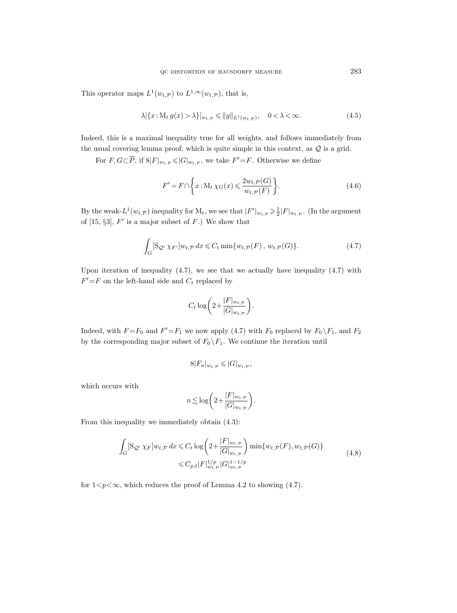This operator maps  $L^1(w_{t,\mathcal{P}})$  to  $L^{1,\infty}(w_{t,\mathcal{P}})$ , that is,

$$
\lambda |\{x: M_t g(x) > \lambda\}|_{w_{t,\mathcal{P}}} \leqslant \|g\|_{L^1(w_{t,\mathcal{P}})}, \quad 0 < \lambda < \infty.
$$
\n
$$
(4.5)
$$

Indeed, this is a maximal inequality true for all weights, and follows immediately from the usual covering lemma proof, which is quite simple in this context, as  $Q$  is a grid.

For  $F, G \subset \overline{P}$ , if  $8|F|_{w_{t,\mathcal{P}}} \leqslant |G|_{w_{t,\mathcal{P}}}$ , we take  $F' = F$ . Otherwise we define

$$
F' = F \cap \left\{ x : \mathcal{M}_t \chi_G(x) \leqslant \frac{2w_{t, \mathcal{P}}(G)}{w_{t, \mathcal{P}}(F)} \right\}.
$$
\n(4.6)

By the weak- $L^1(w_{t,\mathcal{P}})$  inequality for  $M_t$ , we see that  $|F'|_{w_{t,\mathcal{P}}} \geq \frac{1}{2}|F|_{w_{t,\mathcal{P}}}$ . (In the argument of  $[15, \S3]$ ,  $F'$  is a major subset of  $F$ .) We show that

$$
\int_{G} [\mathcal{S}_{\mathcal{Q}'} \chi_{F'}] w_{t,\mathcal{P}} dx \leqslant C_t \min \{w_{t,\mathcal{P}}(F), w_{t,\mathcal{P}}(G) \}.
$$
\n(4.7)

Upon iteration of inequality  $(4.7)$ , we see that we actually have inequality  $(4.7)$  with  $F' = F$  on the left-hand side and  $C_t$  replaced by

$$
C_t \log \biggl( 2 + \frac{|F|_{w_{t,\mathcal{P}}}}{|G|_{w_{t,\mathcal{P}}}} \biggr).
$$

Indeed, with  $F = F_0$  and  $F' = F_1$  we now apply (4.7) with  $F_0$  replaced by  $F_0 \setminus F_1$ , and  $F_2$ by the corresponding major subset of  $F_0 \backslash F_1$ . We continue the iteration until

$$
8|F_n|_{w_{t,\mathcal{P}}} \leqslant |G|_{w_{t,\mathcal{P}}},
$$

which occurs with

$$
n \lesssim \log \biggl( 2 + \frac{|F|_{w_{t,\mathcal{P}}}}{|G|_{w_{t,\mathcal{P}}}} \biggr).
$$

From this inequality we immediately obtain (4.3):

$$
\int_{G} [\mathbf{S}_{\mathcal{Q}'} \chi_{F}] w_{t,\mathcal{P}} dx \leq C_{t} \log \left( 2 + \frac{|F|_{w_{t,\mathcal{P}}}}{|G|_{w_{t,\mathcal{P}}}} \right) \min \{ w_{t,\mathcal{P}}(F), w_{t,\mathcal{P}}(G) \}
$$
\n
$$
\leq C_{p,t} |F|_{w_{t,\mathcal{P}}}^{1/p} |G|_{w_{t,\mathcal{P}}}^{1-1/p}
$$
\n(4.8)

for  $1 < p < \infty$ , which reduces the proof of Lemma 4.2 to showing (4.7).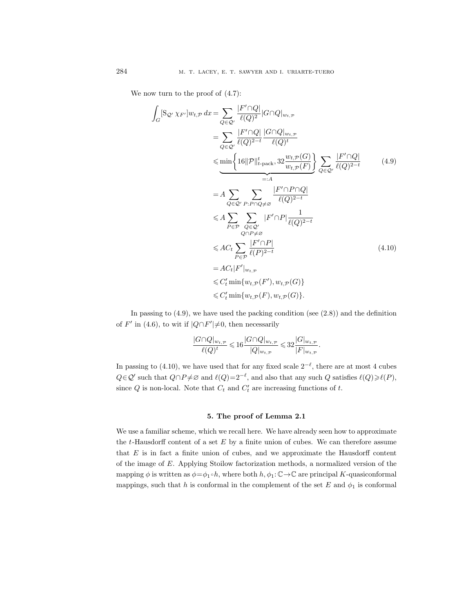We now turn to the proof of (4.7):

$$
\int_{G} [S_{Q'} \chi_{F'}] w_{t,\mathcal{P}} dx = \sum_{Q \in \mathcal{Q}'} \frac{|F' \cap Q|}{\ell(Q)^2} |G \cap Q|_{w_{t,\mathcal{P}}}
$$
\n
$$
= \sum_{Q \in \mathcal{Q}'} \frac{|F' \cap Q|}{\ell(Q)^{2-t}} \frac{|G \cap Q|_{w_{t,\mathcal{P}}}}{\ell(Q)^t}
$$
\n
$$
\leq \min \left\{ 16 \|\mathcal{P}\|_{t-\text{pack}}^t, 32 \frac{w_{t,\mathcal{P}}(G)}{w_{t,\mathcal{P}}(F)} \right\} \sum_{Q \in \mathcal{Q}'} \frac{|F' \cap Q|}{\ell(Q)^{2-t}}
$$
\n
$$
= A \sum_{Q \in \mathcal{Q}'} \sum_{P: P \cap Q \neq \emptyset} \frac{|F' \cap P \cap Q|}{\ell(Q)^{2-t}}
$$
\n
$$
\leq A \sum_{P \in \mathcal{P}} \sum_{Q \in \mathcal{Q}'} |F' \cap P| \frac{1}{\ell(Q)^{2-t}}
$$
\n
$$
\leq AC_{t} \sum_{P \in \mathcal{P}} \frac{|F' \cap P|}{\ell(P)^{2-t}}
$$
\n
$$
= AC_{t} |F'|_{w_{t,\mathcal{P}}}
$$
\n
$$
\leq C'_{t} \min \{w_{t,\mathcal{P}}(F), w_{t,\mathcal{P}}(G)\} \leq C'_{t} \min \{w_{t,\mathcal{P}}(F), w_{t,\mathcal{P}}(G)\}.
$$
\n(4.10)

In passing to  $(4.9)$ , we have used the packing condition (see  $(2.8)$ ) and the definition of F' in (4.6), to wit if  $|Q \cap F'|\neq 0$ , then necessarily

$$
\frac{|G\cap Q|_{w_t,p}}{\ell(Q)^t} \leqslant 16 \frac{|G\cap Q|_{w_t,p}}{|Q|_{w_t,p}} \leqslant 32 \frac{|G|_{w_t,p}}{|F|_{w_t,p}}.
$$

In passing to (4.10), we have used that for any fixed scale  $2^{-\ell}$ , there are at most 4 cubes  $Q \in \mathcal{Q}'$  such that  $Q \cap P \neq \emptyset$  and  $\ell(Q)=2^{-\ell}$ , and also that any such  $Q$  satisfies  $\ell(Q) \geq \ell(P)$ , since Q is non-local. Note that  $C_t$  and  $C'_t$  are increasing functions of t.

### 5. The proof of Lemma 2.1

We use a familiar scheme, which we recall here. We have already seen how to approximate the  $t$ -Hausdorff content of a set  $E$  by a finite union of cubes. We can therefore assume that  $E$  is in fact a finite union of cubes, and we approximate the Hausdorff content of the image of E. Applying Stoilow factorization methods, a normalized version of the mapping  $\phi$  is written as  $\phi = \phi_1 \circ h$ , where both  $h, \phi_1: \mathbb{C} \to \mathbb{C}$  are principal K-quasiconformal mappings, such that h is conformal in the complement of the set E and  $\phi_1$  is conformal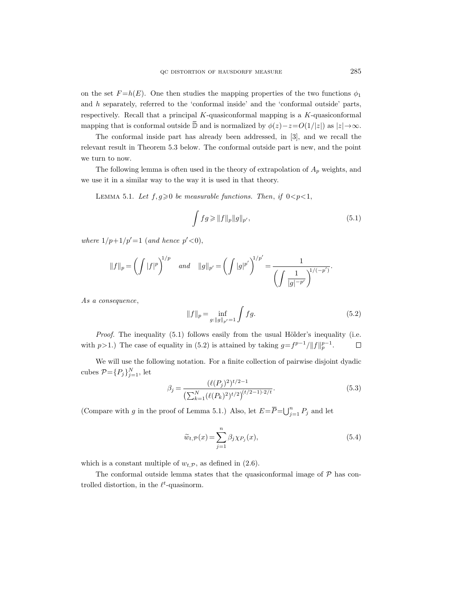on the set  $F=h(E)$ . One then studies the mapping properties of the two functions  $\phi_1$ and  $h$  separately, referred to the 'conformal inside' and the 'conformal outside' parts, respectively. Recall that a principal K-quasiconformal mapping is a K-quasiconformal mapping that is conformal outside D and is normalized by  $\phi(z)-z=O(1/|z|)$  as  $|z|\rightarrow\infty$ .

The conformal inside part has already been addressed, in [3], and we recall the relevant result in Theorem 5.3 below. The conformal outside part is new, and the point we turn to now.

The following lemma is often used in the theory of extrapolation of  $A_p$  weights, and we use it in a similar way to the way it is used in that theory.

LEMMA 5.1. Let  $f, g \geqslant 0$  be measurable functions. Then, if  $0 < p < 1$ ,

$$
\int fg \ge ||f||_p ||g||_{p'},\tag{5.1}
$$

where  $1/p+1/p'=1$  (and hence  $p'<0$ ),

$$
||f||_p = \left(\int |f|^p\right)^{1/p} \quad and \quad ||g||_{p'} = \left(\int |g|^{p'}\right)^{1/p'} = \frac{1}{\left(\int \frac{1}{|g|^{-p'}}\right)^{1/(-p')} }.
$$

As a consequence,

$$
||f||_p = \inf_{g: ||g||_{p'} = 1} \int fg.
$$
\n(5.2)

*Proof.* The inequality  $(5.1)$  follows easily from the usual Hölder's inequality (i.e. with p>1.) The case of equality in (5.2) is attained by taking  $g = f^{p-1}/||f||_p^{p-1}$ .  $\Box$ 

We will use the following notation. For a finite collection of pairwise disjoint dyadic cubes  $\mathcal{P} = \{P_j\}_{j=1}^N$ , let

$$
\beta_j = \frac{(\ell(P_j)^2)^{t/2 - 1}}{\left(\sum_{k=1}^N (\ell(P_k)^2)^{t/2}\right)^{(t/2 - 1) \cdot 2/t}}.
$$
\n(5.3)

(Compare with g in the proof of Lemma 5.1.) Also, let  $E = \overline{P} = \bigcup_{j=1}^{n} P_j$  and let

$$
\widetilde{w}_{t,\mathcal{P}}(x) = \sum_{j=1}^{n} \beta_j \chi_{P_j}(x),\tag{5.4}
$$

which is a constant multiple of  $w_{t,\mathcal{P}}$ , as defined in (2.6).

The conformal outside lemma states that the quasiconformal image of  $P$  has controlled distortion, in the  $\ell^t$ -quasinorm.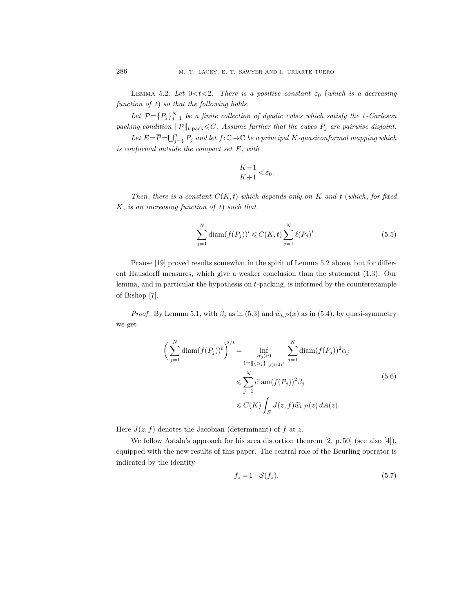LEMMA 5.2. Let  $0 < t < 2$ . There is a positive constant  $\varepsilon_0$  (which is a decreasing function of t) so that the following holds.

Let  $\mathcal{P} = \{P_j\}_{j=1}^N$  be a finite collection of dyadic cubes which satisfy the t-Carleson packing condition  $\|\mathcal{P}\|_{t-\text{pack}} \leq C$ . Assume further that the cubes  $P_j$  are pairwise disjoint.

Let  $E = \overline{P} = \bigcup_{j=1}^n P_j$  and let  $f: \mathbb{C} \to \mathbb{C}$  be a principal K-quasiconformal mapping which is conformal outside the compact set E, with

$$
\frac{K-1}{K+1} < \varepsilon_0.
$$

Then, there is a constant  $C(K,t)$  which depends only on K and t (which, for fixed  $K$ , is an increasing function of t) such that

$$
\sum_{j=1}^{N} \text{diam}(f(P_j))^t \leq C(K,t) \sum_{j=1}^{N} \ell(P_j)^t.
$$
 (5.5)

Prause [19] proved results somewhat in the spirit of Lemma 5.2 above, but for different Hausdorff measures, which give a weaker conclusion than the statement (1.3). Our lemma, and in particular the hypothesis on t-packing, is informed by the counterexample of Bishop [7].

*Proof.* By Lemma 5.1, with  $\beta_i$  as in (5.3) and  $\tilde{w}_{t,\mathcal{P}}(x)$  as in (5.4), by quasi-symmetry we get

$$
\left(\sum_{j=1}^{N} \operatorname{diam}(f(P_j))^t\right)^{2/t} = \inf_{\substack{\alpha_j>0\\1 = ||\{\alpha_j\}||_{\ell^{(t/2)'}}} \sum_{j=1}^{N} \operatorname{diam}(f(P_j))^2 \alpha_j
$$
\n
$$
\leqslant \sum_{j=1}^{N} \operatorname{diam}(f(P_j))^2 \beta_j
$$
\n
$$
\leqslant C(K) \int_E J(z, f) \widetilde{w}_{t, \mathcal{P}}(z) dA(z).
$$
\n(5.6)

Here  $J(z, f)$  denotes the Jacobian (determinant) of f at z.

We follow Astala's approach for his area distortion theorem [2, p. 50] (see also [4]), equipped with the new results of this paper. The central role of the Beurling operator is indicated by the identity

$$
f_z = 1 + \mathcal{S}(f_{\bar{z}}). \tag{5.7}
$$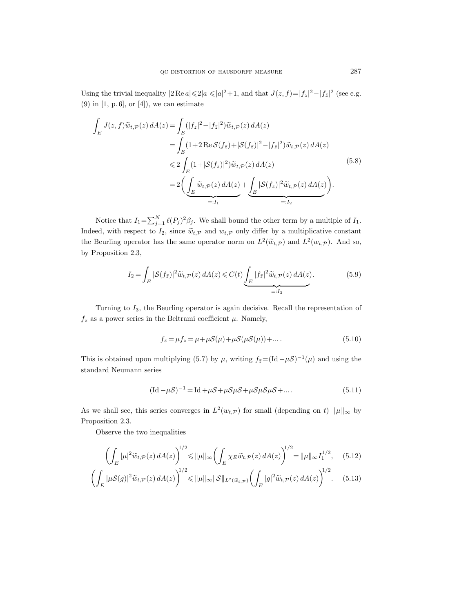Using the trivial inequality  $|2 \text{ Re } a| \leq 2|a| \leq |a|^2 + 1$ , and that  $J(z, f) = |f_z|^2 - |f_{\bar{z}}|^2$  (see e.g.  $(9)$  in [1, p. 6], or [4]), we can estimate

$$
\int_{E} J(z, f)\widetilde{w}_{t,\mathcal{P}}(z) dA(z) = \int_{E} (|f_{z}|^{2} - |f_{\bar{z}}|^{2})\widetilde{w}_{t,\mathcal{P}}(z) dA(z)
$$
\n
$$
= \int_{E} (1 + 2 \operatorname{Re} \mathcal{S}(f_{\bar{z}}) + |\mathcal{S}(f_{\bar{z}})|^{2} - |f_{\bar{z}}|^{2})\widetilde{w}_{t,\mathcal{P}}(z) dA(z)
$$
\n
$$
\leq 2 \int_{E} (1 + |\mathcal{S}(f_{\bar{z}})|^{2})\widetilde{w}_{t,\mathcal{P}}(z) dA(z)
$$
\n
$$
= 2 \Biggl( \underbrace{\int_{E} \widetilde{w}_{t,\mathcal{P}}(z) dA(z)}_{=:I_{1}} + \underbrace{\int_{E} |\mathcal{S}(f_{\bar{z}})|^{2} \widetilde{w}_{t,\mathcal{P}}(z) dA(z)}_{=:I_{2}} \Biggr).
$$
\n(5.8)

Notice that  $I_1 = \sum_{j=1}^N \ell(P_j)^2 \beta_j$ . We shall bound the other term by a multiple of  $I_1$ . Indeed, with respect to  $I_2$ , since  $\tilde{w}_{t,\mathcal{P}}$  and  $w_{t,\mathcal{P}}$  only differ by a multiplicative constant the Beurling operator has the same operator norm on  $L^2(\tilde{w}_{t,\mathcal{P}})$  and  $L^2(w_{t,\mathcal{P}})$ . And so, by Proposition 2.3,

$$
I_2 = \int_E |\mathcal{S}(f_{\bar{z}})|^2 \widetilde{w}_{t,\mathcal{P}}(z) dA(z) \leq C(t) \underbrace{\int_E |f_{\bar{z}}|^2 \widetilde{w}_{t,\mathcal{P}}(z) dA(z)}_{=:I_3}.
$$
 (5.9)

Turning to  $I_3$ , the Beurling operator is again decisive. Recall the representation of  $f_{\bar{z}}$  as a power series in the Beltrami coefficient  $\mu$ . Namely,

$$
f_{\bar{z}} = \mu f_z = \mu + \mu \mathcal{S}(\mu) + \mu \mathcal{S}(\mu \mathcal{S}(\mu)) + \dots.
$$
\n(5.10)

This is obtained upon multiplying (5.7) by  $\mu$ , writing  $f_{\bar{z}} = (\text{Id} - \mu S)^{-1}(\mu)$  and using the standard Neumann series

$$
(\text{Id} - \mu S)^{-1} = \text{Id} + \mu S + \mu S \mu S + \mu S \mu S + \dots
$$
\n(5.11)

As we shall see, this series converges in  $L^2(w_{t,\mathcal{P}})$  for small (depending on t)  $\|\mu\|_{\infty}$  by Proposition 2.3.

Observe the two inequalities

$$
\left(\int_{E} |\mu|^2 \widetilde{w}_{t,\mathcal{P}}(z) dA(z)\right)^{1/2} \leqslant \|\mu\|_{\infty} \left(\int_{E} \chi_{E} \widetilde{w}_{t,\mathcal{P}}(z) dA(z)\right)^{1/2} = \|\mu\|_{\infty} I_1^{1/2},\tag{5.12}
$$

$$
\left(\int_{E} |\mu S(g)|^2 \widetilde{w}_{t,\mathcal{P}}(z) dA(z)\right)^{1/2} \leq \|\mu\|_{\infty} \|\mathcal{S}\|_{L^2(\widetilde{w}_{t,\mathcal{P}})} \left(\int_{E} |g|^2 \widetilde{w}_{t,\mathcal{P}}(z) dA(z)\right)^{1/2}.\tag{5.13}
$$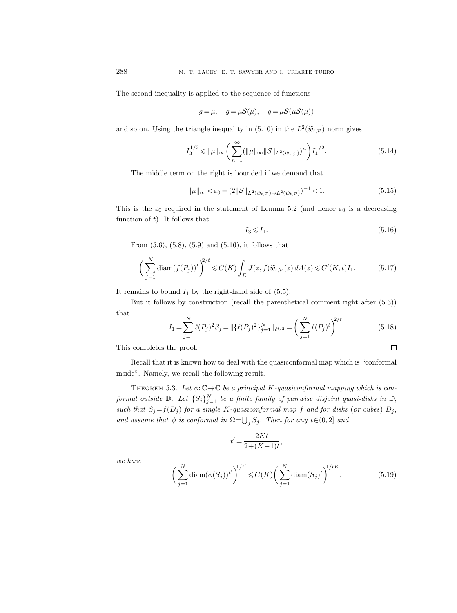The second inequality is applied to the sequence of functions

$$
g = \mu
$$
,  $g = \mu S(\mu)$ ,  $g = \mu S(\mu S(\mu))$ 

and so on. Using the triangle inequality in (5.10) in the  $L^2(\widetilde{w}_{t,\mathcal{P}})$  norm gives

$$
I_3^{1/2} \le \|\mu\|_{\infty} \left(\sum_{n=1}^{\infty} (\|\mu\|_{\infty} \|\mathcal{S}\|_{L^2(\tilde{w}_{t,\mathcal{P}})})^n \right) I_1^{1/2}.
$$
 (5.14)

The middle term on the right is bounded if we demand that

$$
\|\mu\|_{\infty} < \varepsilon_0 = (2\|\mathcal{S}\|_{L^2(\tilde{w}_{t,\mathcal{P}}) \to L^2(\tilde{w}_{t,\mathcal{P}})})^{-1} < 1. \tag{5.15}
$$

This is the  $\varepsilon_0$  required in the statement of Lemma 5.2 (and hence  $\varepsilon_0$  is a decreasing function of  $t$ ). It follows that

$$
I_3 \leqslant I_1. \tag{5.16}
$$

 $\Box$ 

From (5.6), (5.8), (5.9) and (5.16), it follows that

$$
\left(\sum_{j=1}^{N} \operatorname{diam}(f(P_j))^t\right)^{2/t} \leqslant C(K) \int_E J(z,f)\widetilde{w}_{t,\mathcal{P}}(z) dA(z) \leqslant C'(K,t)I_1. \tag{5.17}
$$

It remains to bound  $I_1$  by the right-hand side of (5.5).

But it follows by construction (recall the parenthetical comment right after (5.3)) that

$$
I_1 = \sum_{j=1}^{N} \ell(P_j)^2 \beta_j = \|\{\ell(P_j)^2\}_{j=1}^{N}\|_{\ell^{t/2}} = \left(\sum_{j=1}^{N} \ell(P_j)^t\right)^{2/t}.
$$
 (5.18)

This completes the proof.

Recall that it is known how to deal with the quasiconformal map which is "conformal inside". Namely, we recall the following result.

THEOREM 5.3. Let  $\phi: \mathbb{C} \to \mathbb{C}$  be a principal K-quasiconformal mapping which is conformal outside  $\mathbb{D}$ . Let  $\{S_j\}_{j=1}^N$  be a finite family of pairwise disjoint quasi-disks in  $\mathbb{D}$ , such that  $S_j = f(D_j)$  for a single K-quasiconformal map f and for disks (or cubes)  $D_j$ , and assume that  $\phi$  is conformal in  $\Omega = \bigcup_j S_j$ . Then for any  $t \in (0, 2]$  and

$$
t' = \frac{2Kt}{2 + (K - 1)t},
$$

we have

$$
\left(\sum_{j=1}^{N} \text{diam}(\phi(S_j))^{t'}\right)^{1/t'} \leq C(K) \left(\sum_{j=1}^{N} \text{diam}(S_j)^{t}\right)^{1/tK}.
$$
 (5.19)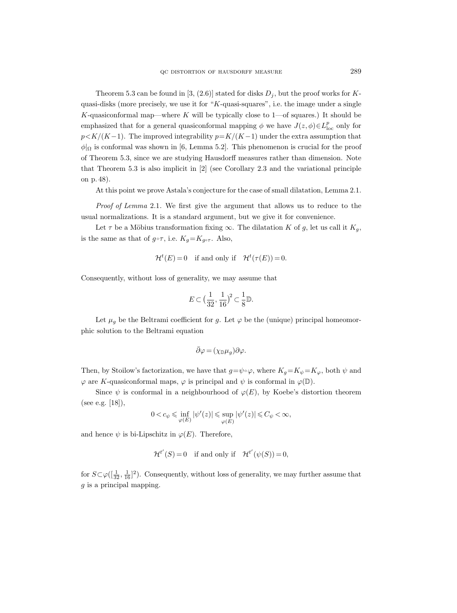Theorem 5.3 can be found in [3, (2.6)] stated for disks  $D_j$ , but the proof works for Kquasi-disks (more precisely, we use it for "K-quasi-squares", i.e. the image under a single K-quasiconformal map—where K will be typically close to  $1$ —of squares.) It should be emphasized that for a general quasiconformal mapping  $\phi$  we have  $J(z, \phi) \in L^p_{loc}$  only for  $p < K/(K-1)$ . The improved integrability  $p = K/(K-1)$  under the extra assumption that  $\phi|_{\Omega}$  is conformal was shown in [6, Lemma 5.2]. This phenomenon is crucial for the proof of Theorem 5.3, since we are studying Hausdorff measures rather than dimension. Note that Theorem 5.3 is also implicit in [2] (see Corollary 2.3 and the variational principle on p. 48).

At this point we prove Astala's conjecture for the case of small dilatation, Lemma 2.1.

Proof of Lemma 2.1. We first give the argument that allows us to reduce to the usual normalizations. It is a standard argument, but we give it for convenience.

Let  $\tau$  be a Möbius transformation fixing  $\infty$ . The dilatation K of g, let us call it  $K_q$ , is the same as that of  $g \circ \tau$ , i.e.  $K_g = K_{g \circ \tau}$ . Also,

$$
\mathcal{H}^t(E) = 0 \quad \text{if and only if} \quad \mathcal{H}^t(\tau(E)) = 0.
$$

Consequently, without loss of generality, we may assume that

$$
E \subset \left(\frac{1}{32}, \frac{1}{16}\right)^2 \subset \frac{1}{8} \mathbb{D}.
$$

Let  $\mu_q$  be the Beltrami coefficient for g. Let  $\varphi$  be the (unique) principal homeomorphic solution to the Beltrami equation

$$
\bar{\partial}\varphi=(\chi_{\mathbb{D}}\mu_g)\partial\varphi.
$$

Then, by Stoilow's factorization, we have that  $g=\psi\circ\varphi$ , where  $K_g=K_\psi=K_\varphi$ , both  $\psi$  and  $\varphi$  are K-quasiconformal maps,  $\varphi$  is principal and  $\psi$  is conformal in  $\varphi(\mathbb{D})$ .

Since  $\psi$  is conformal in a neighbourhood of  $\varphi(E)$ , by Koebe's distortion theorem (see e.g. [18]),

$$
0
$$

and hence  $\psi$  is bi-Lipschitz in  $\varphi(E)$ . Therefore,

$$
\mathcal{H}^{t'}(S) = 0
$$
 if and only if  $\mathcal{H}^{t'}(\psi(S)) = 0$ ,

for  $S \subset \varphi([\frac{1}{32}, \frac{1}{16}]^2)$ . Consequently, without loss of generality, we may further assume that  $g$  is a principal mapping.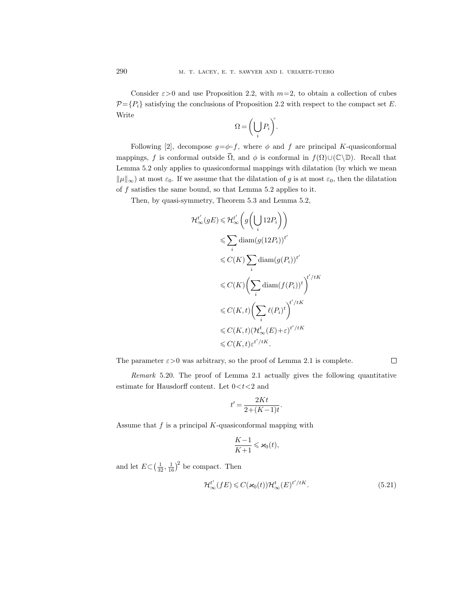Consider  $\varepsilon > 0$  and use Proposition 2.2, with  $m=2$ , to obtain a collection of cubes  $\mathcal{P}=\{P_i\}$  satisfying the conclusions of Proposition 2.2 with respect to the compact set E. Write

$$
\Omega = \left(\bigcup_i P_i\right)^{\!\!\circ}.
$$

Following [2], decompose  $g = \phi \circ f$ , where  $\phi$  and  $f$  are principal K-quasiconformal mappings, f is conformal outside  $\overline{\Omega}$ , and  $\phi$  is conformal in  $f(\Omega) \cup (\mathbb{C}\backslash \mathbb{D})$ . Recall that Lemma 5.2 only applies to quasiconformal mappings with dilatation (by which we mean  $\|\mu\|_{\infty}$  at most  $\varepsilon_0$ . If we assume that the dilatation of g is at most  $\varepsilon_0$ , then the dilatation of  $f$  satisfies the same bound, so that Lemma 5.2 applies to it.

Then, by quasi-symmetry, Theorem 5.3 and Lemma 5.2,

$$
\mathcal{H}_{\infty}^{t'}(gE) \leq \mathcal{H}_{\infty}^{t'}\left(g\left(\bigcup_{i} 12P_{i}\right)\right)
$$
  
\n
$$
\leq \sum_{i} \text{diam}(g(12P_{i}))^{t'}
$$
  
\n
$$
\leq C(K) \sum_{i} \text{diam}(g(P_{i}))^{t'}
$$
  
\n
$$
\leq C(K)\left(\sum_{i} \text{diam}(f(P_{i}))^{t}\right)^{t'/tK}
$$
  
\n
$$
\leq C(K,t)\left(\sum_{i} \ell(P_{i})^{t}\right)^{t'/tK}
$$
  
\n
$$
\leq C(K,t)(\mathcal{H}_{\infty}^{t}(E)+\varepsilon)^{t'/tK}
$$
  
\n
$$
\leq C(K,t)\varepsilon^{t'/tK}.
$$

The parameter  $\varepsilon > 0$  was arbitrary, so the proof of Lemma 2.1 is complete.

Remark 5.20. The proof of Lemma 2.1 actually gives the following quantitative estimate for Hausdorff content. Let  $0 < t < 2$  and

$$
t' = \frac{2Kt}{2 + (K - 1)t}.
$$

Assume that  $f$  is a principal  $K$ -quasiconformal mapping with

$$
\frac{K-1}{K+1} \leqslant \varkappa_0(t),
$$

and let  $E \subset (\frac{1}{32}, \frac{1}{16})^2$  be compact. Then

$$
\mathcal{H}_{\infty}^{t'}(fE) \leqslant C(\varkappa_0(t))\mathcal{H}_{\infty}^{t}(E)^{t'/tK}.
$$
\n(5.21)

 $\Box$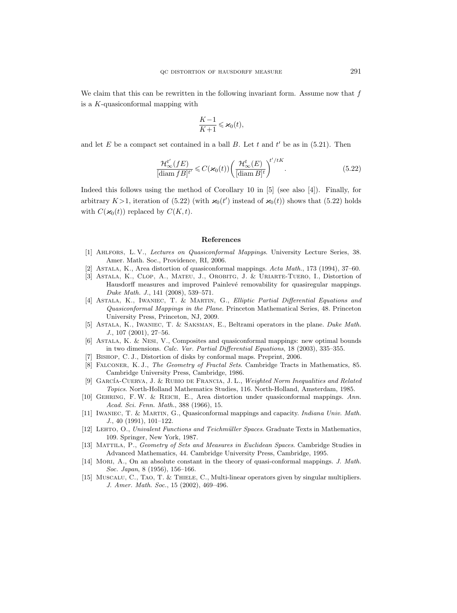We claim that this can be rewritten in the following invariant form. Assume now that  $f$ is a K-quasiconformal mapping with

$$
\frac{K-1}{K+1}\leqslant\varkappa_0(t),
$$

and let  $E$  be a compact set contained in a ball  $B$ . Let  $t$  and  $t'$  be as in (5.21). Then

$$
\frac{\mathcal{H}_{\infty}^{t'}(fE)}{[\text{diam }fB]^{t'}} \leqslant C(\varkappa_0(t)) \bigg(\frac{\mathcal{H}_{\infty}^t(E)}{[\text{diam }B]^{t}}\bigg)^{t'/tK}.
$$
\n(5.22)

Indeed this follows using the method of Corollary 10 in [5] (see also [4]). Finally, for arbitrary  $K > 1$ , iteration of (5.22) (with  $\varkappa_0(t')$  instead of  $\varkappa_0(t)$ ) shows that (5.22) holds with  $C(\varkappa_0(t))$  replaced by  $C(K, t)$ .

#### References

- [1] Ahlfors, L. V., Lectures on Quasiconformal Mappings. University Lecture Series, 38. Amer. Math. Soc., Providence, RI, 2006.
- [2] Astala, K., Area distortion of quasiconformal mappings. Acta Math., 173 (1994), 37–60.
- [3] Astala, K., Clop, A., Mateu, J., Orobitg, J. & Uriarte-Tuero, I., Distortion of Hausdorff measures and improved Painlevé removability for quasiregular mappings. Duke Math. J., 141 (2008), 539–571.
- [4] Astala, K., Iwaniec, T. & Martin, G., Elliptic Partial Differential Equations and Quasiconformal Mappings in the Plane. Princeton Mathematical Series, 48. Princeton University Press, Princeton, NJ, 2009.
- [5] Astala, K., Iwaniec, T. & Saksman, E., Beltrami operators in the plane. Duke Math. J., 107 (2001), 27–56.
- [6] Astala, K. & Nesi, V., Composites and quasiconformal mappings: new optimal bounds in two dimensions. Calc. Var. Partial Differential Equations, 18 (2003), 335–355.
- [7] Bishop, C. J., Distortion of disks by conformal maps. Preprint, 2006.
- [8] FALCONER, K. J., The Geometry of Fractal Sets. Cambridge Tracts in Mathematics, 85. Cambridge University Press, Cambridge, 1986.
- [9] GARCÍA-CUERVA, J. & RUBIO DE FRANCIA, J. L., Weighted Norm Inequalities and Related Topics. North-Holland Mathematics Studies, 116. North-Holland, Amsterdam, 1985.
- [10] Gehring, F. W. & Reich, E., Area distortion under quasiconformal mappings. Ann. Acad. Sci. Fenn. Math., 388 (1966), 15.
- [11] Iwaniec, T. & Martin, G., Quasiconformal mappings and capacity. Indiana Univ. Math. J., 40 (1991), 101–122.
- [12] LEHTO, O., Univalent Functions and Teichmüller Spaces. Graduate Texts in Mathematics, 109. Springer, New York, 1987.
- [13] Mattila, P., Geometry of Sets and Measures in Euclidean Spaces. Cambridge Studies in Advanced Mathematics, 44. Cambridge University Press, Cambridge, 1995.
- [14] Mori, A., On an absolute constant in the theory of quasi-conformal mappings. J. Math. Soc. Japan, 8 (1956), 156–166.
- [15] MUSCALU, C., TAO, T. & THIELE, C., Multi-linear operators given by singular multipliers. J. Amer. Math. Soc., 15 (2002), 469–496.